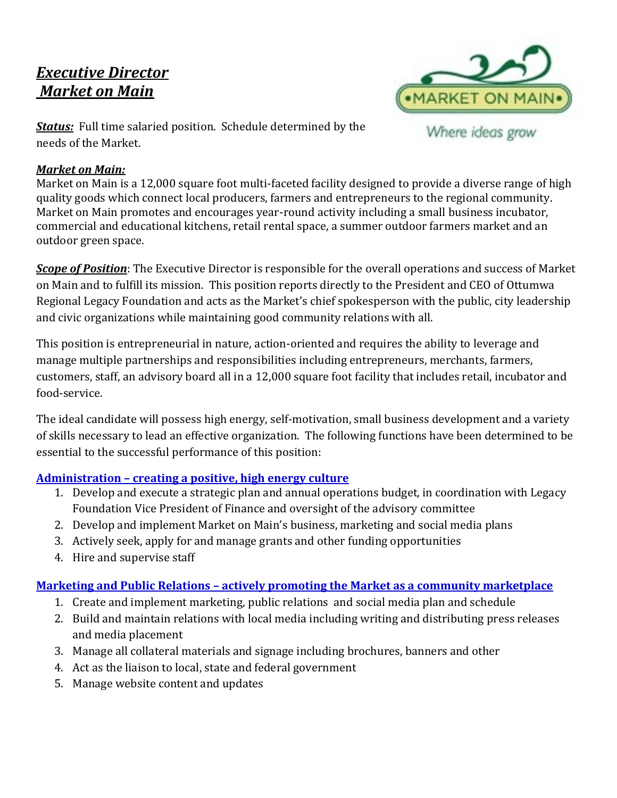# *Executive Director Market on Main*



*Status:* Full time salaried position. Schedule determined by the needs of the Market.

### *Market on Main:*

Market on Main is a 12,000 square foot multi-faceted facility designed to provide a diverse range of high quality goods which connect local producers, farmers and entrepreneurs to the regional community. Market on Main promotes and encourages year-round activity including a small business incubator, commercial and educational kitchens, retail rental space, a summer outdoor farmers market and an outdoor green space.

*Scope of Position*: The Executive Director is responsible for the overall operations and success of Market on Main and to fulfill its mission. This position reports directly to the President and CEO of Ottumwa Regional Legacy Foundation and acts as the Market's chief spokesperson with the public, city leadership and civic organizations while maintaining good community relations with all.

This position is entrepreneurial in nature, action-oriented and requires the ability to leverage and manage multiple partnerships and responsibilities including entrepreneurs, merchants, farmers, customers, staff, an advisory board all in a 12,000 square foot facility that includes retail, incubator and food-service.

The ideal candidate will possess high energy, self-motivation, small business development and a variety of skills necessary to lead an effective organization. The following functions have been determined to be essential to the successful performance of this position:

### **Administration – creating a positive, high energy culture**

- 1. Develop and execute a strategic plan and annual operations budget, in coordination with Legacy Foundation Vice President of Finance and oversight of the advisory committee
- 2. Develop and implement Market on Main's business, marketing and social media plans
- 3. Actively seek, apply for and manage grants and other funding opportunities
- 4. Hire and supervise staff

## **Marketing and Public Relations – actively promoting the Market as a community marketplace**

- 1. Create and implement marketing, public relations and social media plan and schedule
- 2. Build and maintain relations with local media including writing and distributing press releases and media placement
- 3. Manage all collateral materials and signage including brochures, banners and other
- 4. Act as the liaison to local, state and federal government
- 5. Manage website content and updates